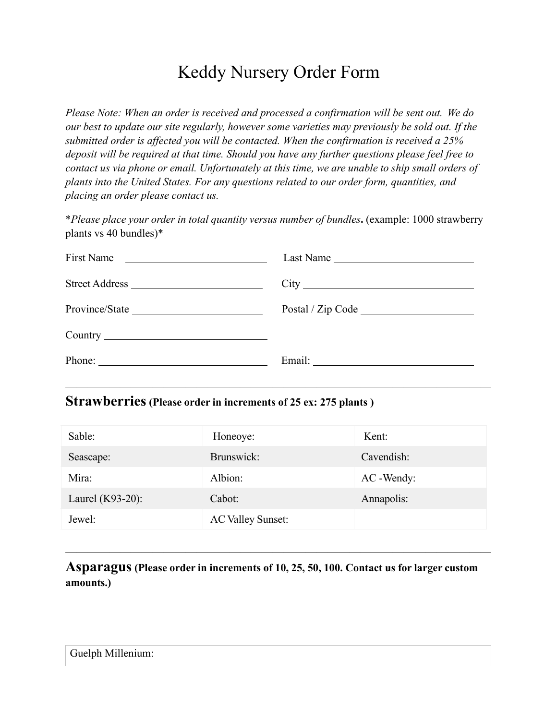# Keddy Nursery Order Form

*Please Note: When an order is received and processed a confirmation will be sent out. We do our best to update our site regularly, however some varieties may previously be sold out. If the submitted order is affected you will be contacted. When the confirmation is received a 25% deposit will be required at that time. Should you have any further questions please feel free to contact us via phone or email. Unfortunately at this time, we are unable to ship small orders of plants into the United States. For any questions related to our order form, quantities, and placing an order please contact us.*

\**Please place your order in total quantity versus number of bundles***.** (example: 1000 strawberry plants vs 40 bundles)\*

| First Name     | Last Name |
|----------------|-----------|
| Street Address |           |
|                |           |
|                |           |
|                |           |
|                |           |

#### **Strawberries(Please order in increments of 25 ex: 275 plants )**

| Sable:              | Honeoye:                 | Kent:      |
|---------------------|--------------------------|------------|
| Seascape:           | Brunswick:               | Cavendish: |
| Mira:               | Albion:                  | AC -Wendy: |
| Laurel $(K93-20)$ : | Cabot:                   | Annapolis: |
| Jewel:              | <b>AC Valley Sunset:</b> |            |

**Asparagus(Please order in increments of 10, 25, 50, 100. Contact us for larger custom amounts.)**

———————————————————————————————————————